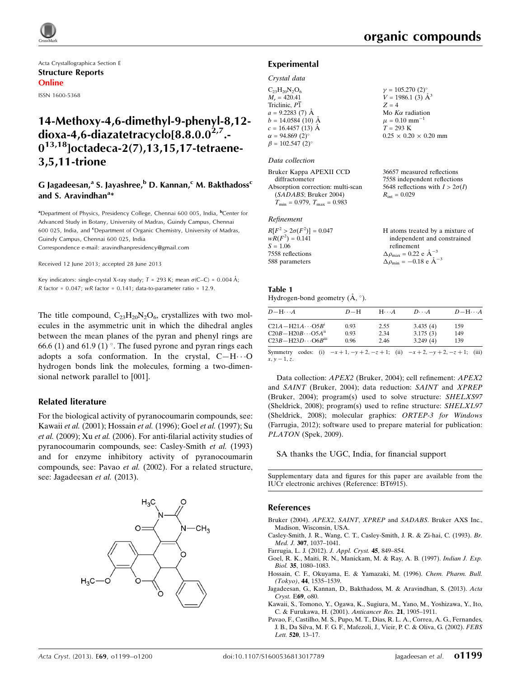Acta Crystallographica Section E Structure Reports Online

ISSN 1600-5368

# 14-Methoxy-4,6-dimethyl-9-phenyl-8,12 dioxa-4,6-diazatetracyclo $[8.8.0.0^{2.7}]$ .  $0^{13,18}$ ]octadeca-2(7),13,15,17-tetraene-3,5,11-trione

# G Jagadeesan,<sup>a</sup> S. Jayashree,<sup>b</sup> D. Kannan,<sup>c</sup> M. Bakthadoss<sup>c</sup> and S. Aravindhan<sup>a</sup>\*

<sup>a</sup>Department of Physics, Presidency College, Chennai 600 005, India, <sup>b</sup>Center for Advanced Study in Botany, University of Madras, Guindy Campus, Chennai 600 025, India, and <sup>c</sup>Department of Organic Chemistry, University of Madras, Guindy Campus, Chennai 600 025, India Correspondence e-mail: [aravindhanpresidency@gmail.com](https://scripts.iucr.org/cgi-bin/cr.cgi?rm=pdfbb&cnor=bt6915&bbid=BB12)

Received 12 June 2013; accepted 28 June 2013

Key indicators: single-crystal X-ray study;  $T = 293$  K; mean  $\sigma$ (C–C) = 0.004 Å;  $R$  factor = 0.047;  $wR$  factor = 0.141; data-to-parameter ratio = 12.9.

The title compound,  $C_{23}H_{20}N_2O_6$ , crystallizes with two molecules in the asymmetric unit in which the dihedral angles between the mean planes of the pyran and phenyl rings are 66.6 (1) and 61.9 (1) $^{\circ}$ . The fused pyrone and pyran rings each adopts a sofa conformation. In the crystal,  $C-H\cdots O$ hydrogen bonds link the molecules, forming a two-dimensional network parallel to [001].

#### Related literature

For the biological activity of pyranocoumarin compounds, see: Kawaii et al. (2001); Hossain et al. (1996); Goel et al. (1997); Su et al. (2009); Xu et al. (2006). For anti-filarial activity studies of pyranocoumarin compounds, see: Casley-Smith et al. (1993) and for enzyme inhibitory activity of pyranocoumarin compounds, see: Pavao et al. (2002). For a related structure, see: Jagadeesan et al. (2013).



# organic compounds

#### Experimental

#### Crystal data

| $C_{23}H_{20}N_2O_6$               | $\gamma = 105.270$ (2) <sup>o</sup> |
|------------------------------------|-------------------------------------|
| $M_r = 420.41$                     | $V = 1986.1$ (3) $\AA^3$            |
| Triclinic, P1                      | $Z = 4$                             |
| $a = 9.2283(7)$ Å                  | Mo $K\alpha$ radiation              |
| $b = 14.0584(10)$ Å                | $\mu = 0.10$ mm <sup>-1</sup>       |
| $c = 16.4457(13)$ Å                | $T = 293 \text{ K}$                 |
| $\alpha = 94.869(2)$ °             | $0.25 \times 0.20 \times 0.20$ mm   |
| $\beta = 102.547$ (2) <sup>o</sup> |                                     |
|                                    |                                     |

#### Data collection

| Bruker Kappa APEXII CCD                 | 36657 measured reflections             |
|-----------------------------------------|----------------------------------------|
| diffractometer                          | 7558 independent reflections           |
| Absorption correction: multi-scan       | 5648 reflections with $I > 2\sigma(I)$ |
| (SADABS; Bruker 2004)                   | $R_{\rm int} = 0.029$                  |
| $T_{\min} = 0.979$ , $T_{\max} = 0.983$ |                                        |

#### Refinement

| $R[F^2 > 2\sigma(F^2)] = 0.047$ |  |
|---------------------------------|--|
| $wR(F^2) = 0.141$               |  |
| $S = 1.06$                      |  |
| 7558 reflections                |  |
| 588 parameters                  |  |
|                                 |  |

#### H atoms treated by a mixture of independent and constrained refinement  $\Delta \rho_{\text{max}} = 0.22 \text{ e } \text{\AA}^{-3}$  $\Delta \rho_{\rm min} = -0.18 \text{ e } \text{\AA}^{-3}$

#### Table 1 Hydrogen-bond geometry  $(\AA, \degree)$ .

| $D - H \cdots A$                        | $D-H$ | $H \cdots A$ | $D\cdots A$                                                                 | $D$ -H $\cdots$ A |
|-----------------------------------------|-------|--------------|-----------------------------------------------------------------------------|-------------------|
| $C21A - H21A \cdots O5B$ <sup>1</sup>   | 0.93  | 2.55         | 3.435(4)                                                                    | 159               |
| $C20B - H20B \cdots O5A^{ii}$           | 0.93  | 2.34         | 3.175(3)                                                                    | 149               |
| $C23B - H23D \cdots O6B$ <sup>iii</sup> | 0.96  | 2.46         | 3.249(4)                                                                    | 139               |
| Symmetry<br>$x, y = 1, z$               |       |              | codes: (i) $-x+1$ , $-y+2$ , $-z+1$ ; (ii) $-x+2$ , $-y+2$ , $-z+1$ ; (iii) |                   |

Data collection: APEX2 (Bruker, 2004); cell refinement: APEX2 and SAINT (Bruker, 2004); data reduction: SAINT and XPREP (Bruker, 2004); program(s) used to solve structure: SHELXS97 (Sheldrick, 2008); program(s) used to refine structure: SHELXL97 (Sheldrick, 2008); molecular graphics: ORTEP-3 for Windows (Farrugia, 2012); software used to prepare material for publication: PLATON (Spek, 2009).

SA thanks the UGC, India, for financial support

Supplementary data and figures for this paper are available from the IUCr electronic archives (Reference: BT6915).

#### References

- Bruker (2004). APEX2, SAINT, XPREP and SADABS[. Bruker AXS Inc.,](https://scripts.iucr.org/cgi-bin/cr.cgi?rm=pdfbb&cnor=bt6915&bbid=BB1) [Madison, Wisconsin, USA.](https://scripts.iucr.org/cgi-bin/cr.cgi?rm=pdfbb&cnor=bt6915&bbid=BB1)
- [Casley-Smith, J. R., Wang, C. T., Casley-Smith, J. R. & Zi-hai, C. \(1993\).](https://scripts.iucr.org/cgi-bin/cr.cgi?rm=pdfbb&cnor=bt6915&bbid=BB2) Br. Med. J. 307[, 1037–1041.](https://scripts.iucr.org/cgi-bin/cr.cgi?rm=pdfbb&cnor=bt6915&bbid=BB2)
- [Farrugia, L. J. \(2012\).](https://scripts.iucr.org/cgi-bin/cr.cgi?rm=pdfbb&cnor=bt6915&bbid=BB3) J. Appl. Cryst. 45, 849–854.
- [Goel, R. K., Maiti, R. N., Manickam, M. & Ray, A. B. \(1997\).](https://scripts.iucr.org/cgi-bin/cr.cgi?rm=pdfbb&cnor=bt6915&bbid=BB4) Indian J. Exp. Biol. 35[, 1080–1083.](https://scripts.iucr.org/cgi-bin/cr.cgi?rm=pdfbb&cnor=bt6915&bbid=BB4)
- [Hossain, C. F., Okuyama, E. & Yamazaki, M. \(1996\).](https://scripts.iucr.org/cgi-bin/cr.cgi?rm=pdfbb&cnor=bt6915&bbid=BB5) Chem. Pharm. Bull.  $(Tokyo)$ , 44[, 1535–1539.](https://scripts.iucr.org/cgi-bin/cr.cgi?rm=pdfbb&cnor=bt6915&bbid=BB5)
- [Jagadeesan, G., Kannan, D., Bakthadoss, M. & Aravindhan, S. \(2013\).](https://scripts.iucr.org/cgi-bin/cr.cgi?rm=pdfbb&cnor=bt6915&bbid=BB6) Acta [Cryst.](https://scripts.iucr.org/cgi-bin/cr.cgi?rm=pdfbb&cnor=bt6915&bbid=BB6) E69, o80.
- [Kawaii, S., Tomono, Y., Ogawa, K., Sugiura, M., Yano, M., Yoshizawa, Y., Ito,](https://scripts.iucr.org/cgi-bin/cr.cgi?rm=pdfbb&cnor=bt6915&bbid=BB7) [C. & Furukawa, H. \(2001\).](https://scripts.iucr.org/cgi-bin/cr.cgi?rm=pdfbb&cnor=bt6915&bbid=BB7) Anticancer Res. 21, 1905–1911.
- [Pavao, F., Castilho, M. S., Pupo, M. T., Dias, R. L. A., Correa, A. G., Fernandes,](https://scripts.iucr.org/cgi-bin/cr.cgi?rm=pdfbb&cnor=bt6915&bbid=BB8) [J. B., Da Silva, M. F. G. F., Mafezoli, J., Vieir, P. C. & Oliva, G. \(2002\).](https://scripts.iucr.org/cgi-bin/cr.cgi?rm=pdfbb&cnor=bt6915&bbid=BB8) FEBS Lett. 520[, 13–17.](https://scripts.iucr.org/cgi-bin/cr.cgi?rm=pdfbb&cnor=bt6915&bbid=BB8)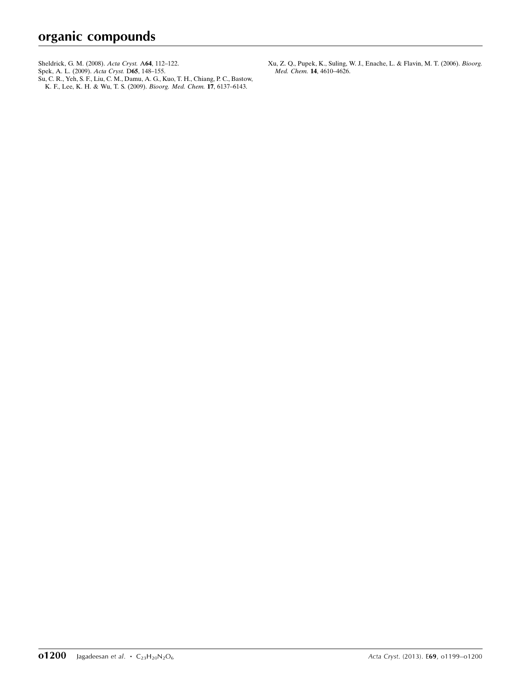- [Sheldrick, G. M. \(2008\).](https://scripts.iucr.org/cgi-bin/cr.cgi?rm=pdfbb&cnor=bt6915&bbid=BB9) Acta Cryst. A64, 112–122.
- [Spek, A. L. \(2009\).](https://scripts.iucr.org/cgi-bin/cr.cgi?rm=pdfbb&cnor=bt6915&bbid=BB10) Acta Cryst. D65, 148-155.
- [Su, C. R., Yeh, S. F., Liu, C. M., Damu, A. G., Kuo, T. H., Chiang, P. C., Bastow,](https://scripts.iucr.org/cgi-bin/cr.cgi?rm=pdfbb&cnor=bt6915&bbid=BB11) [K. F., Lee, K. H. & Wu, T. S. \(2009\).](https://scripts.iucr.org/cgi-bin/cr.cgi?rm=pdfbb&cnor=bt6915&bbid=BB11) Bioorg. Med. Chem. 17, 6137–6143.

[Xu, Z. Q., Pupek, K., Suling, W. J., Enache, L. & Flavin, M. T. \(2006\).](https://scripts.iucr.org/cgi-bin/cr.cgi?rm=pdfbb&cnor=bt6915&bbid=BB12) Bioorg. Med. Chem. 14[, 4610–4626.](https://scripts.iucr.org/cgi-bin/cr.cgi?rm=pdfbb&cnor=bt6915&bbid=BB12)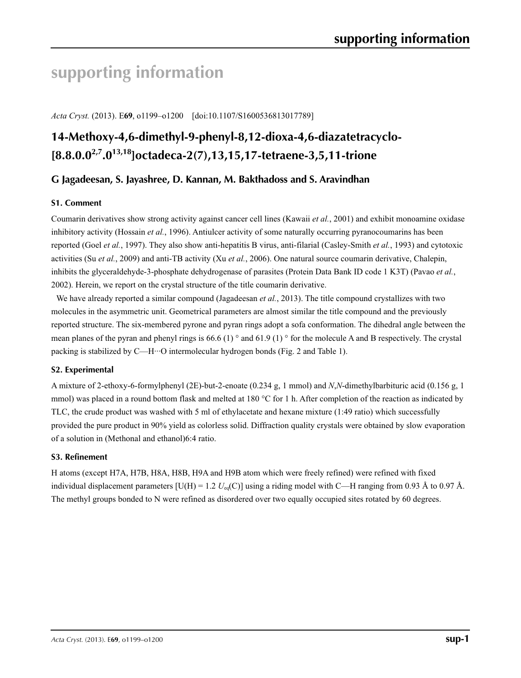# **supporting information**

*Acta Cryst.* (2013). E**69**, o1199–o1200 [doi:10.1107/S1600536813017789]

# **14-Methoxy-4,6-dimethyl-9-phenyl-8,12-dioxa-4,6-diazatetracyclo- [8.8.0.02,7.013,18]octadeca-2(7),13,15,17-tetraene-3,5,11-trione**

# **G Jagadeesan, S. Jayashree, D. Kannan, M. Bakthadoss and S. Aravindhan**

## **S1. Comment**

Coumarin derivatives show strong activity against cancer cell lines (Kawaii *et al.*, 2001) and exhibit monoamine oxidase inhibitory activity (Hossain *et al.*, 1996). Antiulcer activity of some naturally occurring pyranocoumarins has been reported (Goel *et al.*, 1997). They also show anti-hepatitis B virus, anti-filarial (Casley-Smith *et al.*, 1993) and cytotoxic activities (Su *et al.*, 2009) and anti-TB activity (Xu *et al.*, 2006). One natural source coumarin derivative, Chalepin, inhibits the glyceraldehyde-3-phosphate dehydrogenase of parasites (Protein Data Bank ID code 1 K3T) (Pavao *et al.*, 2002). Herein, we report on the crystal structure of the title coumarin derivative.

We have already reported a similar compound (Jagadeesan *et al.*, 2013). The title compound crystallizes with two molecules in the asymmetric unit. Geometrical parameters are almost similar the title compound and the previously reported structure. The six-membered pyrone and pyran rings adopt a sofa conformation. The dihedral angle between the mean planes of the pyran and phenyl rings is 66.6 (1)  $\degree$  and 61.9 (1)  $\degree$  for the molecule A and B respectively. The crystal packing is stabilized by C—H···O intermolecular hydrogen bonds (Fig. 2 and Table 1).

## **S2. Experimental**

A mixture of 2-ethoxy-6-formylphenyl (2E)-but-2-enoate (0.234 g, 1 mmol) and *N*,*N*-dimethylbarbituric acid (0.156 g, 1 mmol) was placed in a round bottom flask and melted at 180 °C for 1 h. After completion of the reaction as indicated by TLC, the crude product was washed with 5 ml of ethylacetate and hexane mixture (1:49 ratio) which successfully provided the pure product in 90% yield as colorless solid. Diffraction quality crystals were obtained by slow evaporation of a solution in (Methonal and ethanol)6:4 ratio.

## **S3. Refinement**

H atoms (except H7A, H7B, H8A, H8B, H9A and H9B atom which were freely refined) were refined with fixed individual displacement parameters  $[U(H) = 1.2 U_{eq}(C)]$  using a riding model with C—H ranging from 0.93 Å to 0.97 Å. The methyl groups bonded to N were refined as disordered over two equally occupied sites rotated by 60 degrees.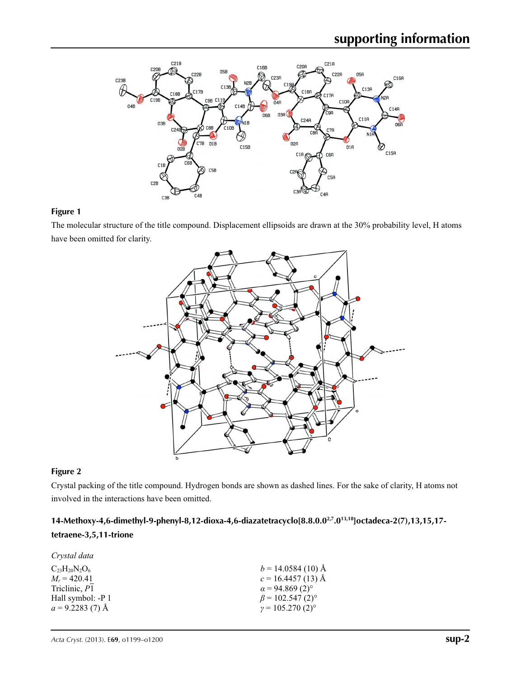

## **Figure 1**

The molecular structure of the title compound. Displacement ellipsoids are drawn at the 30% probability level, H atoms have been omitted for clarity.



### **Figure 2**

Crystal packing of the title compound. Hydrogen bonds are shown as dashed lines. For the sake of clarity, H atoms not involved in the interactions have been omitted.

**14-Methoxy-4,6-dimethyl-9-phenyl-8,12-dioxa-4,6-diazatetracyclo[8.8.0.02,7.013,18]octadeca-2(7),13,15,17 tetraene-3,5,11-trione** 

| Crystal data             |                                    |
|--------------------------|------------------------------------|
| $C_{23}H_{20}N_{2}O_{6}$ | $b = 14.0584(10)$ Å                |
| $M_r = 420.41$           | $c = 16.4457(13)$ Å                |
| Triclinic, P1            | $\alpha$ = 94.869 (2) <sup>o</sup> |
| Hall symbol: -P 1        | $\beta$ = 102.547 (2) <sup>o</sup> |
| $a = 9.2283(7)$ Å        | $\gamma = 105.270(2)^{\circ}$      |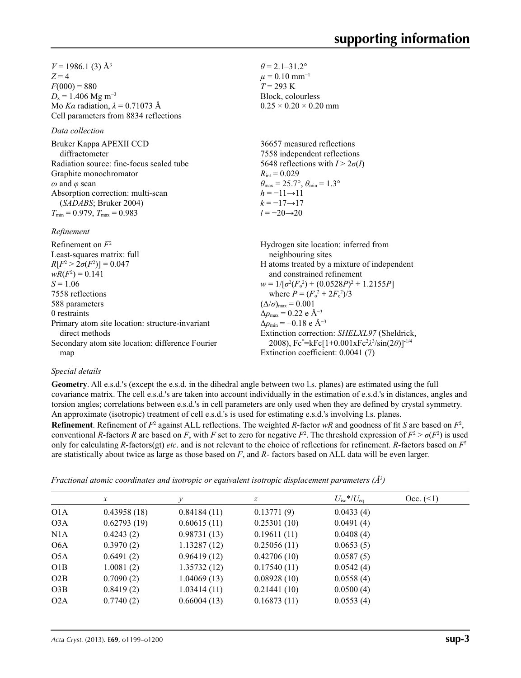$V = 1986.1$  (3)  $\AA$ <sup>3</sup>  $Z = 4$  $F(000) = 880$  $D_x = 1.406$  Mg m<sup>-3</sup> Mo *Kα* radiation,  $\lambda = 0.71073$  Å Cell parameters from 8834 reflections

#### *Data collection*

Bruker Kappa APEXII CCD diffractometer Radiation source: fine-focus sealed tube Graphite monochromator *ω* and *φ* scan Absorption correction: multi-scan (*SADABS*; Bruker 2004)  $T_{\text{min}} = 0.979$ ,  $T_{\text{max}} = 0.983$ 

Primary atom site location: structure-invariant

Secondary atom site location: difference Fourier

#### *Refinement*

Refinement on *F*<sup>2</sup>

Least-squares matrix: full *R*[ $F^2 > 2\sigma(F^2)$ ] = 0.047  $wR(F^2) = 0.141$  $S = 1.06$ 7558 reflections 588 parameters 0 restraints

 $\theta$  = 2.1–31.2°  $\mu$  = 0.10 mm<sup>-1</sup>  $T = 293 \text{ K}$ Block, colourless  $0.25 \times 0.20 \times 0.20$  mm

36657 measured reflections 7558 independent reflections 5648 reflections with  $I > 2\sigma(I)$  $R_{\text{int}} = 0.029$  $\theta_{\text{max}} = 25.7^{\circ}, \theta_{\text{min}} = 1.3^{\circ}$  $h = -11 \rightarrow 11$  $k = -17 \rightarrow 17$ *l* = −20→20

Hydrogen site location: inferred from neighbouring sites H atoms treated by a mixture of independent and constrained refinement  $w = 1/[\sigma^2 (F_o^2) + (0.0528P)^2 + 1.2155P]$ where  $P = (F_o^2 + 2F_c^2)/3$  $(\Delta/\sigma)_{\text{max}} = 0.001$  $\Delta \rho_{\rm max} = 0.22$  e Å<sup>-3</sup>  $\Delta\rho_{\rm min}$  = −0.18 e Å<sup>-3</sup> Extinction correction: *SHELXL97* (Sheldrick, 2008), Fc\* =kFc[1+0.001xFc2 *λ*3 /sin(2*θ*)]-1/4 Extinction coefficient: 0.0041 (7)

## *Special details*

map

direct methods

**Geometry**. All e.s.d.'s (except the e.s.d. in the dihedral angle between two l.s. planes) are estimated using the full covariance matrix. The cell e.s.d.'s are taken into account individually in the estimation of e.s.d.'s in distances, angles and torsion angles; correlations between e.s.d.'s in cell parameters are only used when they are defined by crystal symmetry. An approximate (isotropic) treatment of cell e.s.d.'s is used for estimating e.s.d.'s involving l.s. planes.

**Refinement**. Refinement of  $F^2$  against ALL reflections. The weighted *R*-factor  $wR$  and goodness of fit *S* are based on  $F^2$ , conventional *R*-factors *R* are based on *F*, with *F* set to zero for negative  $F^2$ . The threshold expression of  $F^2 > \sigma(F^2)$  is used only for calculating *R*-factors(gt) *etc*. and is not relevant to the choice of reflections for refinement. *R*-factors based on *F*<sup>2</sup> are statistically about twice as large as those based on *F*, and *R*- factors based on ALL data will be even larger.

*Fractional atomic coordinates and isotropic or equivalent isotropic displacement parameters (Å2 )*

|                  | $\mathcal{X}$ | v           | z           | $U_{\rm iso}$ */ $U_{\rm eq}$ | Occ. (2) |
|------------------|---------------|-------------|-------------|-------------------------------|----------|
| O <sub>1</sub> A | 0.43958(18)   | 0.84184(11) | 0.13771(9)  | 0.0433(4)                     |          |
| O <sub>3</sub> A | 0.62793(19)   | 0.60615(11) | 0.25301(10) | 0.0491(4)                     |          |
| N1A              | 0.4243(2)     | 0.98731(13) | 0.19611(11) | 0.0408(4)                     |          |
| O <sub>6</sub> A | 0.3970(2)     | 1.13287(12) | 0.25056(11) | 0.0653(5)                     |          |
| O5A              | 0.6491(2)     | 0.96419(12) | 0.42706(10) | 0.0587(5)                     |          |
| O1B              | 1.0081(2)     | 1.35732(12) | 0.17540(11) | 0.0542(4)                     |          |
| O2B              | 0.7090(2)     | 1.04069(13) | 0.08928(10) | 0.0558(4)                     |          |
| O3B              | 0.8419(2)     | 1.03414(11) | 0.21441(10) | 0.0500(4)                     |          |
| O2A              | 0.7740(2)     | 0.66004(13) | 0.16873(11) | 0.0553(4)                     |          |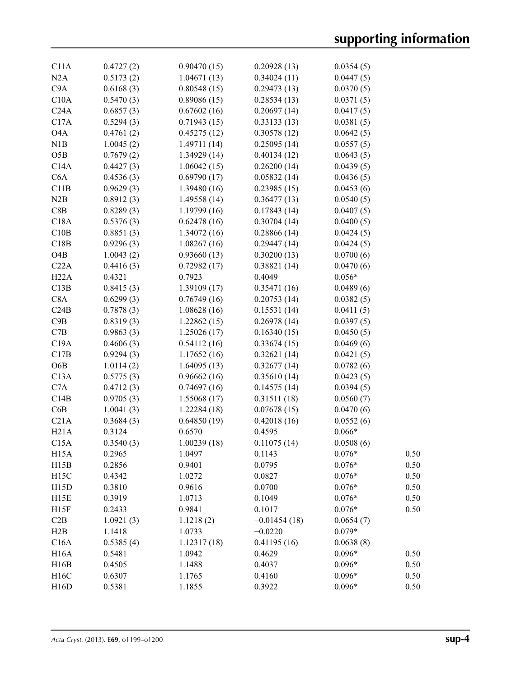| C11A              | 0.4727(2) | 0.90470(15)  | 0.20928(13)    | 0.0354(5) |      |
|-------------------|-----------|--------------|----------------|-----------|------|
| N2A               | 0.5173(2) | 1.04671(13)  | 0.34024(11)    | 0.0447(5) |      |
| C9A               | 0.6168(3) | 0.80548(15)  | 0.29473(13)    | 0.0370(5) |      |
| C10A              | 0.5470(3) | 0.89086(15)  | 0.28534(13)    | 0.0371(5) |      |
| C24A              | 0.6857(3) | 0.67602(16)  | 0.20697(14)    | 0.0417(5) |      |
| C17A              | 0.5294(3) | 0.71943(15)  | 0.33133(13)    | 0.0381(5) |      |
| O <sub>4</sub> A  | 0.4761(2) | 0.45275(12)  | 0.30578(12)    | 0.0642(5) |      |
| N1B               | 1.0045(2) | 1.49711(14)  | 0.25095(14)    | 0.0557(5) |      |
| O5B               | 0.7679(2) | 1.34929(14)  | 0.40134(12)    | 0.0643(5) |      |
| C14A              | 0.4427(3) | 1.06042(15)  | 0.26200(14)    | 0.0439(5) |      |
| C6A               | 0.4536(3) | 0.69790(17)  | 0.05832(14)    | 0.0436(5) |      |
| C11B              | 0.9629(3) | 1.39480(16)  | 0.23985(15)    | 0.0453(6) |      |
| N2B               |           |              |                |           |      |
| C8B               | 0.8912(3) | 1.49558 (14) | 0.36477(13)    | 0.0540(5) |      |
|                   | 0.8289(3) | 1.19799(16)  | 0.17843(14)    | 0.0407(5) |      |
| C18A              | 0.5376(3) | 0.62478(16)  | 0.30704(14)    | 0.0400(5) |      |
| C10B              | 0.8851(3) | 1.34072(16)  | 0.28866(14)    | 0.0424(5) |      |
| C18B              | 0.9296(3) | 1.08267(16)  | 0.29447(14)    | 0.0424(5) |      |
| O <sub>4</sub> B  | 1.0043(2) | 0.93660(13)  | 0.30200(13)    | 0.0700(6) |      |
| C22A              | 0.4416(3) | 0.72982(17)  | 0.38821(14)    | 0.0470(6) |      |
| H22A              | 0.4321    | 0.7923       | 0.4049         | $0.056*$  |      |
| C13B              | 0.8415(3) | 1.39109(17)  | 0.35471(16)    | 0.0489(6) |      |
| C8A               | 0.6299(3) | 0.76749(16)  | 0.20753(14)    | 0.0382(5) |      |
| C24B              | 0.7878(3) | 1.08628(16)  | 0.15531(14)    | 0.0411(5) |      |
| C9B               | 0.8319(3) | 1.22862(15)  | 0.26978(14)    | 0.0397(5) |      |
| $\rm C7B$         | 0.9863(3) | 1.25026(17)  | 0.16340(15)    | 0.0450(5) |      |
| C19A              | 0.4606(3) | 0.54112(16)  | 0.33674(15)    | 0.0469(6) |      |
| C17B              | 0.9294(3) | 1.17652(16)  | 0.32621(14)    | 0.0421(5) |      |
| O <sub>6</sub> B  | 1.0114(2) | 1.64095(13)  | 0.32677(14)    | 0.0782(6) |      |
| C13A              | 0.5775(3) | 0.96662(16)  | 0.35610(14)    | 0.0423(5) |      |
| C7A               | 0.4712(3) | 0.74697(16)  | 0.14575(14)    | 0.0394(5) |      |
| C14B              | 0.9705(3) | 1.55068(17)  | 0.31511(18)    | 0.0560(7) |      |
| C6B               | 1.0041(3) | 1.22284(18)  | 0.07678(15)    | 0.0470(6) |      |
| C21A              | 0.3684(3) | 0.64850(19)  | 0.42018(16)    | 0.0552(6) |      |
| H21A              | 0.3124    | 0.6570       | 0.4595         | $0.066*$  |      |
| C15A              | 0.3540(3) | 1.00239(18)  | 0.11075(14)    | 0.0508(6) |      |
| H <sub>15</sub> A | 0.2965    | 1.0497       | 0.1143         | $0.076*$  | 0.50 |
| H15B              | 0.2856    | 0.9401       | 0.0795         | $0.076*$  | 0.50 |
| H15C              | 0.4342    | 1.0272       | 0.0827         | $0.076*$  | 0.50 |
| H15D              | 0.3810    | 0.9616       | 0.0700         | $0.076*$  | 0.50 |
| H <sub>15</sub> E | 0.3919    | 1.0713       | 0.1049         | $0.076*$  | 0.50 |
| H15F              | 0.2433    | 0.9841       | 0.1017         | $0.076*$  | 0.50 |
| C2B               | 1.0921(3) | 1.1218(2)    | $-0.01454(18)$ | 0.0654(7) |      |
| H2B               | 1.1418    | 1.0733       | $-0.0220$      | $0.079*$  |      |
|                   |           |              |                |           |      |
| C16A              | 0.5385(4) | 1.12317(18)  | 0.41195(16)    | 0.0638(8) |      |
| H16A              | 0.5481    | 1.0942       | 0.4629         | $0.096*$  | 0.50 |
| H16B              | 0.4505    | 1.1488       | 0.4037         | $0.096*$  | 0.50 |
| H16C              | 0.6307    | 1.1765       | 0.4160         | $0.096*$  | 0.50 |
| H16D              | 0.5381    | 1.1855       | 0.3922         | $0.096*$  | 0.50 |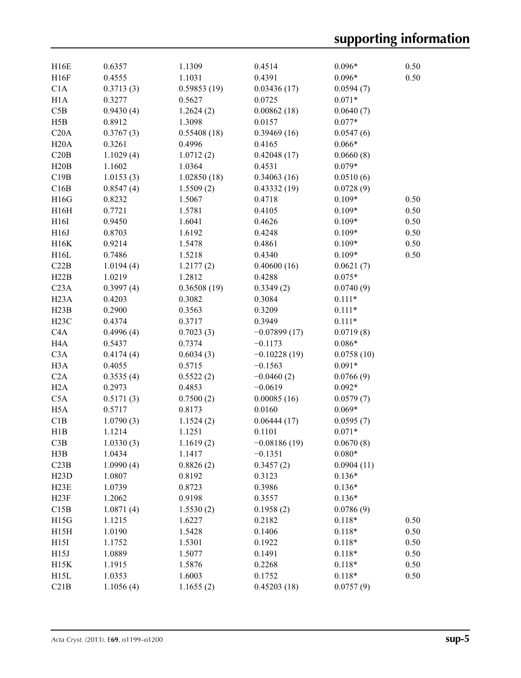| H16E             | 0.6357           | 1.1309      | 0.4514                 | $0.096*$   | 0.50 |
|------------------|------------------|-------------|------------------------|------------|------|
| H16F             | 0.4555           | 1.1031      | 0.4391                 | $0.096*$   | 0.50 |
| C1A              | 0.3713(3)        | 0.59853(19) | 0.03436(17)            | 0.0594(7)  |      |
| H1A              | 0.3277           | 0.5627      | 0.0725                 | $0.071*$   |      |
| C5B              | 0.9430(4)        | 1.2624(2)   | 0.00862(18)            | 0.0640(7)  |      |
| H5B              | 0.8912           | 1.3098      | 0.0157                 | $0.077*$   |      |
| C20A             | 0.3767(3)        | 0.55408(18) | 0.39469(16)            | 0.0547(6)  |      |
| H20A             | 0.3261           | 0.4996      | 0.4165                 | $0.066*$   |      |
| C20B             | 1.1029(4)        | 1.0712(2)   | 0.42048(17)            | 0.0660(8)  |      |
| H20B             | 1.1602           | 1.0364      | 0.4531                 | $0.079*$   |      |
| C19B             | 1.0153(3)        | 1.02850(18) | 0.34063(16)            | 0.0510(6)  |      |
| C16B             | 0.8547(4)        | 1.5509(2)   | 0.43332(19)            | 0.0728(9)  |      |
| H16G             | 0.8232           | 1.5067      | 0.4718                 | $0.109*$   | 0.50 |
| H16H             | 0.7721           | 1.5781      | 0.4105                 | $0.109*$   | 0.50 |
| H16I             | 0.9450           | 1.6041      | 0.4626                 | $0.109*$   | 0.50 |
| H16J             | 0.8703           | 1.6192      | 0.4248                 | $0.109*$   | 0.50 |
| H16K             | 0.9214           | 1.5478      | 0.4861                 | $0.109*$   | 0.50 |
| H16L             | 0.7486           | 1.5218      | 0.4340                 | $0.109*$   | 0.50 |
| C22B             | 1.0194(4)        | 1.2177(2)   | 0.40600(16)            | 0.0621(7)  |      |
| H22B             | 1.0219           | 1.2812      | 0.4288                 | $0.075*$   |      |
| C <sub>23A</sub> | 0.3997(4)        | 0.36508(19) | 0.3349(2)              | 0.0740(9)  |      |
| H23A             | 0.4203           | 0.3082      | 0.3084                 | $0.111*$   |      |
| H23B             | 0.2900           | 0.3563      | 0.3209                 | $0.111*$   |      |
| H23C             | 0.4374           | 0.3717      | 0.3949                 | $0.111*$   |      |
| C4A              | 0.4996(4)        | 0.7023(3)   | $-0.07899(17)$         | 0.0719(8)  |      |
| H <sub>4</sub> A | 0.5437           | 0.7374      | $-0.1173$              | $0.086*$   |      |
| C3A              | 0.4174(4)        | 0.6034(3)   | $-0.10228(19)$         | 0.0758(10) |      |
| H <sub>3</sub> A | 0.4055           | 0.5715      | $-0.1563$              | $0.091*$   |      |
| C2A              | 0.3535(4)        | 0.5522(2)   | $-0.0460(2)$           | 0.0766(9)  |      |
| H2A              | 0.2973           | 0.4853      | $-0.0619$              | $0.092*$   |      |
| C5A              | 0.5171(3)        | 0.7500(2)   | 0.00085(16)            | 0.0579(7)  |      |
| H <sub>5</sub> A | 0.5717           | 0.8173      | 0.0160                 | $0.069*$   |      |
| C1B              | 1.0790(3)        | 1.1524(2)   | 0.06444(17)            | 0.0595(7)  |      |
| H1B              | 1.1214           | 1.1251      | 0.1101                 | $0.071*$   |      |
| C3B              | 1.0330(3)        | 1.1619(2)   |                        | 0.0670(8)  |      |
| H3B              | 1.0434           | 1.1417      | $-0.08186(19)$         | $0.080*$   |      |
| C23B             | 1.0990(4)        | 0.8826(2)   | $-0.1351$<br>0.3457(2) | 0.0904(11) |      |
|                  |                  |             |                        | $0.136*$   |      |
| H23D<br>H23E     | 1.0807           | 0.8192      | 0.3123<br>0.3986       |            |      |
|                  | 1.0739<br>1.2062 | 0.8723      |                        | $0.136*$   |      |
| H23F             |                  | 0.9198      | 0.3557                 | $0.136*$   |      |
| C15B             | 1.0871(4)        | 1.5530(2)   | 0.1958(2)              | 0.0786(9)  |      |
| H15G             | 1.1215           | 1.6227      | 0.2182                 | $0.118*$   | 0.50 |
| H15H             | 1.0190           | 1.5428      | 0.1406                 | $0.118*$   | 0.50 |
| H15I             | 1.1752           | 1.5301      | 0.1922                 | $0.118*$   | 0.50 |
| H15J             | 1.0889           | 1.5077      | 0.1491                 | $0.118*$   | 0.50 |
| H15K             | 1.1915           | 1.5876      | 0.2268                 | $0.118*$   | 0.50 |
| H15L             | 1.0353           | 1.6003      | 0.1752                 | $0.118*$   | 0.50 |
| C21B             | 1.1056(4)        | 1.1655(2)   | 0.45203(18)            | 0.0757(9)  |      |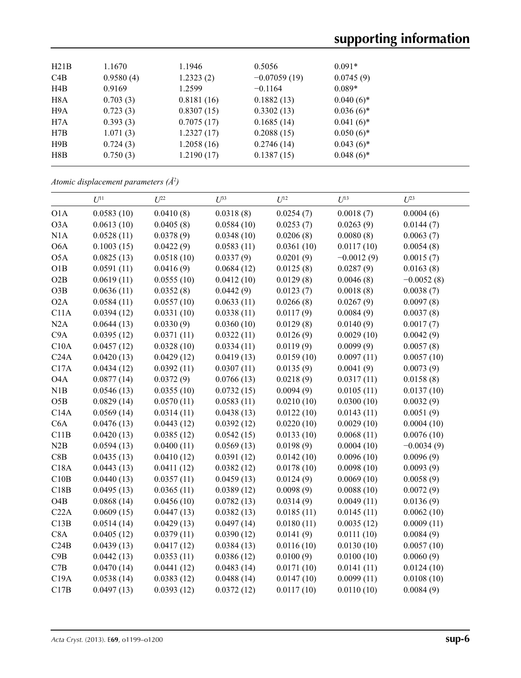# **supporting information**

| H21B | 1.1670    | 1.1946     | 0.5056         | $0.091*$     |  |
|------|-----------|------------|----------------|--------------|--|
| C4B  | 0.9580(4) | 1.2323(2)  | $-0.07059(19)$ | 0.0745(9)    |  |
| H4B  | 0.9169    | 1.2599     | $-0.1164$      | $0.089*$     |  |
| H8A  | 0.703(3)  | 0.8181(16) | 0.1882(13)     | $0.040(6)$ * |  |
| H9A  | 0.723(3)  | 0.8307(15) | 0.3302(13)     | $0.036(6)$ * |  |
| H7A  | 0.393(3)  | 0.7075(17) | 0.1685(14)     | $0.041(6)$ * |  |
| H7B  | 1.071(3)  | 1.2327(17) | 0.2088(15)     | $0.050(6)$ * |  |
| H9B  | 0.724(3)  | 1.2058(16) | 0.2746(14)     | $0.043(6)$ * |  |
| H8B  | 0.750(3)  | 1.2190(17) | 0.1387(15)     | $0.048(6)$ * |  |
|      |           |            |                |              |  |

*Atomic displacement parameters (Å2 )*

|                  | $U^{11}$   | $U^{22}$   | $U^{33}$   | $U^{12}$   | $U^{13}$     | $U^{23}$     |
|------------------|------------|------------|------------|------------|--------------|--------------|
| O1A              | 0.0583(10) | 0.0410(8)  | 0.0318(8)  | 0.0254(7)  | 0.0018(7)    | 0.0004(6)    |
| O3A              | 0.0613(10) | 0.0405(8)  | 0.0584(10) | 0.0253(7)  | 0.0263(9)    | 0.0144(7)    |
| N1A              | 0.0528(11) | 0.0378(9)  | 0.0348(10) | 0.0206(8)  | 0.0080(8)    | 0.0063(7)    |
| O <sub>6</sub> A | 0.1003(15) | 0.0422(9)  | 0.0583(11) | 0.0361(10) | 0.0117(10)   | 0.0054(8)    |
| O <sub>5</sub> A | 0.0825(13) | 0.0518(10) | 0.0337(9)  | 0.0201(9)  | $-0.0012(9)$ | 0.0015(7)    |
| O1B              | 0.0591(11) | 0.0416(9)  | 0.0684(12) | 0.0125(8)  | 0.0287(9)    | 0.0163(8)    |
| O2B              | 0.0619(11) | 0.0555(10) | 0.0412(10) | 0.0129(8)  | 0.0046(8)    | $-0.0052(8)$ |
| O3B              | 0.0636(11) | 0.0352(8)  | 0.0442(9)  | 0.0123(7)  | 0.0018(8)    | 0.0038(7)    |
| O2A              | 0.0584(11) | 0.0557(10) | 0.0633(11) | 0.0266(8)  | 0.0267(9)    | 0.0097(8)    |
| C11A             | 0.0394(12) | 0.0331(10) | 0.0338(11) | 0.0117(9)  | 0.0084(9)    | 0.0037(8)    |
| N2A              | 0.0644(13) | 0.0330(9)  | 0.0360(10) | 0.0129(8)  | 0.0140(9)    | 0.0017(7)    |
| C9A              | 0.0395(12) | 0.0371(11) | 0.0322(11) | 0.0126(9)  | 0.0029(10)   | 0.0042(9)    |
| C10A             | 0.0457(12) | 0.0328(10) | 0.0334(11) | 0.0119(9)  | 0.0099(9)    | 0.0057(8)    |
| C24A             | 0.0420(13) | 0.0429(12) | 0.0419(13) | 0.0159(10) | 0.0097(11)   | 0.0057(10)   |
| C17A             | 0.0434(12) | 0.0392(11) | 0.0307(11) | 0.0135(9)  | 0.0041(9)    | 0.0073(9)    |
| O <sub>4</sub> A | 0.0877(14) | 0.0372(9)  | 0.0766(13) | 0.0218(9)  | 0.0317(11)   | 0.0158(8)    |
| N1B              | 0.0546(13) | 0.0355(10) | 0.0732(15) | 0.0094(9)  | 0.0105(11)   | 0.0137(10)   |
| O5B              | 0.0829(14) | 0.0570(11) | 0.0583(11) | 0.0210(10) | 0.0300(10)   | 0.0032(9)    |
| C14A             | 0.0569(14) | 0.0314(11) | 0.0438(13) | 0.0122(10) | 0.0143(11)   | 0.0051(9)    |
| C6A              | 0.0476(13) | 0.0443(12) | 0.0392(12) | 0.0220(10) | 0.0029(10)   | 0.0004(10)   |
| C11B             | 0.0420(13) | 0.0385(12) | 0.0542(15) | 0.0133(10) | 0.0068(11)   | 0.0076(10)   |
| N2B              | 0.0594(13) | 0.0400(11) | 0.0569(13) | 0.0198(9)  | 0.0004(10)   | $-0.0034(9)$ |
| C8B              | 0.0435(13) | 0.0410(12) | 0.0391(12) | 0.0142(10) | 0.0096(10)   | 0.0096(9)    |
| C18A             | 0.0443(13) | 0.0411(12) | 0.0382(12) | 0.0178(10) | 0.0098(10)   | 0.0093(9)    |
| C10B             | 0.0440(13) | 0.0357(11) | 0.0459(13) | 0.0124(9)  | 0.0069(10)   | 0.0058(9)    |
| C18B             | 0.0495(13) | 0.0365(11) | 0.0389(12) | 0.0098(9)  | 0.0088(10)   | 0.0072(9)    |
| O <sub>4</sub> B | 0.0868(14) | 0.0456(10) | 0.0782(13) | 0.0314(9)  | 0.0049(11)   | 0.0136(9)    |
| C22A             | 0.0609(15) | 0.0447(13) | 0.0382(13) | 0.0185(11) | 0.0145(11)   | 0.0062(10)   |
| C13B             | 0.0514(14) | 0.0429(13) | 0.0497(14) | 0.0180(11) | 0.0035(12)   | 0.0009(11)   |
| C8A              | 0.0405(12) | 0.0379(11) | 0.0390(12) | 0.0141(9)  | 0.0111(10)   | 0.0084(9)    |
| C24B             | 0.0439(13) | 0.0417(12) | 0.0384(13) | 0.0116(10) | 0.0130(10)   | 0.0057(10)   |
| C9B              | 0.0442(13) | 0.0353(11) | 0.0386(12) | 0.0100(9)  | 0.0100(10)   | 0.0060(9)    |
| C7B              | 0.0470(14) | 0.0441(12) | 0.0483(14) | 0.0171(10) | 0.0141(11)   | 0.0124(10)   |
| C19A             | 0.0538(14) | 0.0383(12) | 0.0488(14) | 0.0147(10) | 0.0099(11)   | 0.0108(10)   |
| C17B             | 0.0497(13) | 0.0393(12) | 0.0372(12) | 0.0117(10) | 0.0110(10)   | 0.0084(9)    |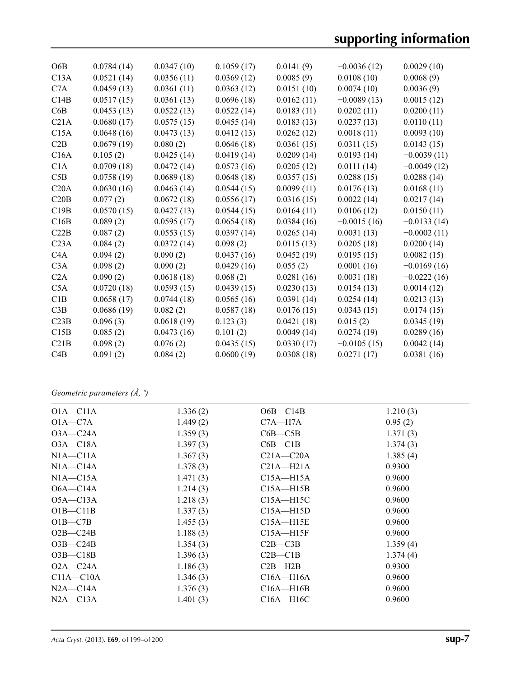# **supporting information**

| O6B              | 0.0784(14) | 0.0347(10) | 0.1059(17) | 0.0141(9)  | $-0.0036(12)$ | 0.0029(10)    |
|------------------|------------|------------|------------|------------|---------------|---------------|
| C13A             | 0.0521(14) | 0.0356(11) | 0.0369(12) | 0.0085(9)  | 0.0108(10)    | 0.0068(9)     |
| C7A              | 0.0459(13) | 0.0361(11) | 0.0363(12) | 0.0151(10) | 0.0074(10)    | 0.0036(9)     |
| C14B             | 0.0517(15) | 0.0361(13) | 0.0696(18) | 0.0162(11) | $-0.0089(13)$ | 0.0015(12)    |
| C6B              | 0.0453(13) | 0.0522(13) | 0.0522(14) | 0.0183(11) | 0.0202(11)    | 0.0200(11)    |
| C21A             | 0.0680(17) | 0.0575(15) | 0.0455(14) | 0.0183(13) | 0.0237(13)    | 0.0110(11)    |
| C15A             | 0.0648(16) | 0.0473(13) | 0.0412(13) | 0.0262(12) | 0.0018(11)    | 0.0093(10)    |
| C2B              | 0.0679(19) | 0.080(2)   | 0.0646(18) | 0.0361(15) | 0.0311(15)    | 0.0143(15)    |
| C16A             | 0.105(2)   | 0.0425(14) | 0.0419(14) | 0.0209(14) | 0.0193(14)    | $-0.0039(11)$ |
| C1A              | 0.0709(18) | 0.0472(14) | 0.0573(16) | 0.0205(12) | 0.0111(14)    | $-0.0049(12)$ |
| C5B              | 0.0758(19) | 0.0689(18) | 0.0648(18) | 0.0357(15) | 0.0288(15)    | 0.0288(14)    |
| C20A             | 0.0630(16) | 0.0463(14) | 0.0544(15) | 0.0099(11) | 0.0176(13)    | 0.0168(11)    |
| C20B             | 0.077(2)   | 0.0672(18) | 0.0556(17) | 0.0316(15) | 0.0022(14)    | 0.0217(14)    |
| C19B             | 0.0570(15) | 0.0427(13) | 0.0544(15) | 0.0164(11) | 0.0106(12)    | 0.0150(11)    |
| C16B             | 0.089(2)   | 0.0595(17) | 0.0654(18) | 0.0384(16) | $-0.0015(16)$ | $-0.0133(14)$ |
| C22B             | 0.087(2)   | 0.0553(15) | 0.0397(14) | 0.0265(14) | 0.0031(13)    | $-0.0002(11)$ |
| C <sub>23A</sub> | 0.084(2)   | 0.0372(14) | 0.098(2)   | 0.0115(13) | 0.0205(18)    | 0.0200(14)    |
| C <sub>4</sub> A | 0.094(2)   | 0.090(2)   | 0.0437(16) | 0.0452(19) | 0.0195(15)    | 0.0082(15)    |
| C3A              | 0.098(2)   | 0.090(2)   | 0.0429(16) | 0.055(2)   | 0.0001(16)    | $-0.0169(16)$ |
| C2A              | 0.090(2)   | 0.0618(18) | 0.068(2)   | 0.0281(16) | 0.0031(18)    | $-0.0222(16)$ |
| C5A              | 0.0720(18) | 0.0593(15) | 0.0439(15) | 0.0230(13) | 0.0154(13)    | 0.0014(12)    |
| C1B              | 0.0658(17) | 0.0744(18) | 0.0565(16) | 0.0391(14) | 0.0254(14)    | 0.0213(13)    |
| C3B              | 0.0686(19) | 0.082(2)   | 0.0587(18) | 0.0176(15) | 0.0343(15)    | 0.0174(15)    |
| C23B             | 0.096(3)   | 0.0618(19) | 0.123(3)   | 0.0421(18) | 0.015(2)      | 0.0345(19)    |
| C15B             | 0.085(2)   | 0.0473(16) | 0.101(2)   | 0.0049(14) | 0.0274(19)    | 0.0289(16)    |
| C21B             | 0.098(2)   | 0.076(2)   | 0.0435(15) | 0.0330(17) | $-0.0105(15)$ | 0.0042(14)    |
| C4B              | 0.091(2)   | 0.084(2)   | 0.0600(19) | 0.0308(18) | 0.0271(17)    | 0.0381(16)    |
|                  |            |            |            |            |               |               |

# *Geometric parameters (Å, º)*

| $O1A - C11A$  | 1.336(2) | $O6B - C14B$  | 1.210(3) |
|---------------|----------|---------------|----------|
| $O1A - C7A$   | 1.449(2) | $C7A - H7A$   | 0.95(2)  |
| $O3A - C24A$  | 1.359(3) | $C6B - C5B$   | 1.371(3) |
| $O3A - C18A$  | 1.397(3) | $C6B - C1B$   | 1.374(3) |
| $NIA - C11A$  | 1.367(3) | $C21A - C20A$ | 1.385(4) |
| $NIA - C14A$  | 1.378(3) | $C21A - H21A$ | 0.9300   |
| $NIA - C15A$  | 1.471(3) | $C15A - H15A$ | 0.9600   |
| $O6A - C14A$  | 1.214(3) | $C15A - H15B$ | 0.9600   |
| $O5A - C13A$  | 1.218(3) | $C15A - H15C$ | 0.9600   |
| $OIB$ -C11B   | 1.337(3) | $C15A - H15D$ | 0.9600   |
| $O1B - C7B$   | 1.455(3) | $C15A - H15E$ | 0.9600   |
| $O2B - C24B$  | 1.188(3) | $C15A - H15F$ | 0.9600   |
| $O3B - C24B$  | 1.354(3) | $C2B - C3B$   | 1.359(4) |
| $O3B - C18B$  | 1.396(3) | $C2B - C1B$   | 1.374(4) |
| $O2A - C24A$  | 1.186(3) | $C2B- H2B$    | 0.9300   |
| $C11A - C10A$ | 1.346(3) | $C16A - H16A$ | 0.9600   |
| $N2A - C14A$  | 1.376(3) | $C16A - H16B$ | 0.9600   |
| $N2A - C13A$  | 1.401(3) | $C16A - H16C$ | 0.9600   |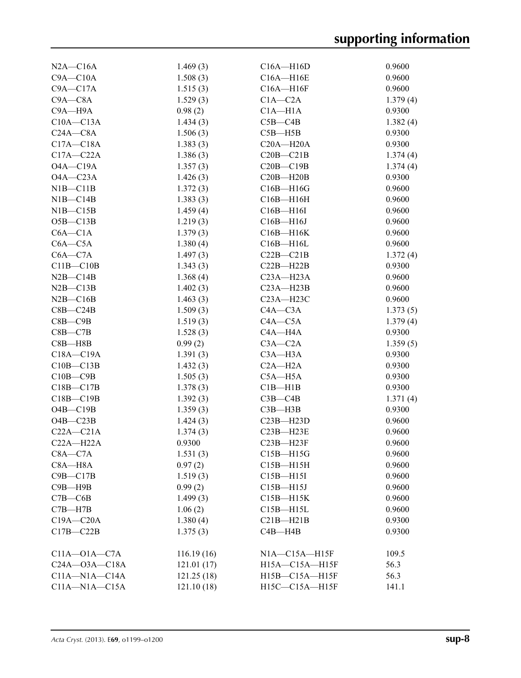| $N2A - C16A$        | 1.469(3)   | $C16A - H16D$         | 0.9600   |
|---------------------|------------|-----------------------|----------|
| $C9A - C10A$        | 1.508(3)   | $C16A - H16E$         | 0.9600   |
| $C9A - C17A$        | 1.515(3)   | $C16A - H16F$         | 0.9600   |
|                     |            |                       |          |
| $C9A - C8A$         | 1.529(3)   | $C1A - C2A$           | 1.379(4) |
| $C9A - H9A$         | 0.98(2)    | $C1A - H1A$           | 0.9300   |
| $C10A - C13A$       | 1.434(3)   | $C5B - C4B$           | 1.382(4) |
| $C24A - C8A$        | 1.506(3)   | $C5B - H5B$           | 0.9300   |
| $C17A - C18A$       | 1.383(3)   | $C20A - H20A$         | 0.9300   |
| $C17A - C22A$       | 1.386(3)   | $C20B - C21B$         | 1.374(4) |
| $O4A - C19A$        | 1.357(3)   | $C20B - C19B$         | 1.374(4) |
| $O4A - C23A$        | 1.426(3)   | $C20B - H20B$         | 0.9300   |
| $NIB - C11B$        | 1.372(3)   | $C16B - H16G$         | 0.9600   |
| $NIB - C14B$        | 1.383(3)   | $C16B - H16H$         | 0.9600   |
| $NIB - C15B$        | 1.459(4)   | $C16B - H16I$         | 0.9600   |
| $O5B - C13B$        | 1.219(3)   | $C16B - H16J$         | 0.9600   |
| $C6A - C1A$         | 1.379(3)   | C16B-H16K             | 0.9600   |
| $C6A - C5A$         | 1.380(4)   | $C16B - H16L$         | 0.9600   |
| $C6A - C7A$         | 1.497(3)   | $C22B - C21B$         | 1.372(4) |
| $C11B - C10B$       | 1.343(3)   | $C22B - H22B$         | 0.9300   |
| $N2B - C14B$        | 1.368(4)   | $C23A - H23A$         | 0.9600   |
| $N2B - C13B$        | 1.402(3)   | $C23A - H23B$         | 0.9600   |
| $N2B - C16B$        | 1.463(3)   | $C23A - H23C$         | 0.9600   |
| $C8B - C24B$        | 1.509(3)   | $C4A - C3A$           | 1.373(5) |
| $C8B - C9B$         | 1.519(3)   | $C4A - C5A$           | 1.379(4) |
| $C8B - C7B$         | 1.528(3)   | $C4A - H4A$           | 0.9300   |
| $C8B - H8B$         | 0.99(2)    | $C3A - C2A$           | 1.359(5) |
| $C18A - C19A$       | 1.391(3)   | $C3A - H3A$           | 0.9300   |
|                     |            | $C2A - H2A$           | 0.9300   |
| $C10B - C13B$       | 1.432(3)   |                       |          |
| $C10B - C9B$        | 1.505(3)   | $C5A - H5A$           | 0.9300   |
| $C18B - C17B$       | 1.378(3)   | $C1B - H1B$           | 0.9300   |
| $C18B - C19B$       | 1.392(3)   | $C3B - C4B$           | 1.371(4) |
| $O4B - C19B$        | 1.359(3)   | $C3B - H3B$           | 0.9300   |
| $O4B - C23B$        | 1.424(3)   | $C23B - H23D$         | 0.9600   |
| $C22A - C21A$       | 1.374(3)   | $C23B - H23E$         | 0.9600   |
| $C22A - H22A$       | 0.9300     | $C23B - H23F$         | 0.9600   |
| $C8A - C7A$         | 1.531(3)   | $C15B - H15G$         | 0.9600   |
| $C8A - H8A$         | 0.97(2)    | $C15B - H15H$         | 0.9600   |
| $C9B - C17B$        | 1.519(3)   | $C15B - H15I$         | 0.9600   |
| $C9B - H9B$         | 0.99(2)    | $C15B - H15J$         | 0.9600   |
| $C7B - C6B$         | 1.499(3)   | $C15B - H15K$         | 0.9600   |
| $C7B - H7B$         | 1.06(2)    | $C15B - H15L$         | 0.9600   |
| $C19A - C20A$       | 1.380(4)   | $C21B - H21B$         | 0.9300   |
| $C17B - C22B$       | 1.375(3)   | $C4B - H4B$           | 0.9300   |
|                     |            |                       |          |
| $C11A - O1A - C7A$  | 116.19(16) | $NIA$ $-CI5A$ $-H15F$ | 109.5    |
| $C24A - 03A - C18A$ | 121.01(17) | H15A-C15A-H15F        | 56.3     |
| $C11A - N1A - C14A$ | 121.25(18) | H15B-C15A-H15F        | 56.3     |
| $C11A - N1A - C15A$ | 121.10(18) | H15C-C15A-H15F        | 141.1    |
|                     |            |                       |          |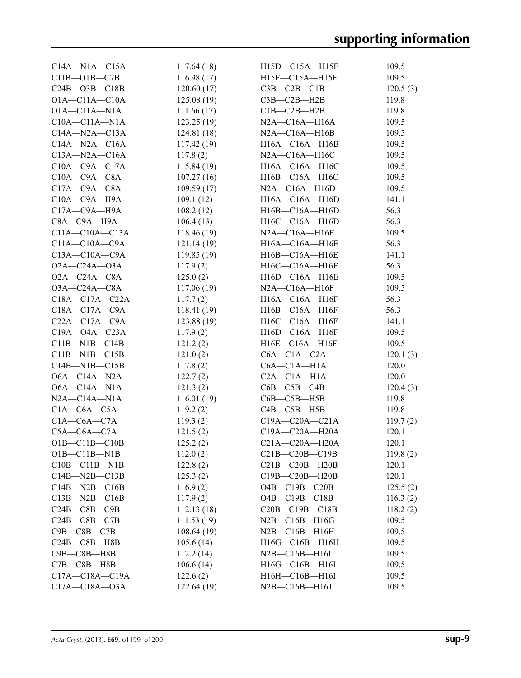| $C14A - N1A - C15A$  | 117.64(18)  | $H15D-C15A-H15F$        | 109.5         |
|----------------------|-------------|-------------------------|---------------|
| $C11B - O1B - C7B$   | 116.98(17)  | $H15E-C15A-H15F$        | 109.5         |
| $C24B - O3B - C18B$  | 120.60(17)  | $C3B - C2B - C1B$       | 120.5(3)      |
| $O1A - C11A - C10A$  | 125.08(19)  | $C3B - C2B - H2B$       | 119.8         |
| $O1A - C11A - N1A$   | 111.66(17)  | $C1B - C2B - H2B$       | 119.8         |
| $C10A - C11A - N1A$  | 123.25(19)  | $N2A$ —C16A—H16A        | 109.5         |
| $C14A - N2A - C13A$  | 124.81(18)  | $N2A - C16A - H16B$     | 109.5         |
| $C14A - N2A - C16A$  | 117.42(19)  | $H16A - C16A - H16B$    | 109.5         |
| $C13A - N2A - C16A$  | 117.8(2)    | N2A-C16A-H16C           | 109.5         |
| $C10A - C9A - C17A$  | 115.84(19)  | H16A-C16A-H16C          | 109.5         |
| $C10A - C9A - C8A$   | 107.27(16)  | H16B-C16A-H16C          | 109.5         |
| $C17A - C9A - C8A$   | 109.59(17)  | $N2A - C16A - H16D$     | 109.5         |
| $C10A - C9A - H9A$   | 109.1(12)   | $H16A - C16A - H16D$    | 141.1         |
| $C17A - C9A - H9A$   | 108.2(12)   | $H16B - C16A - H16D$    | 56.3          |
| $C8A - C9A - H9A$    | 106.4(13)   | $H16C-C16A-H16D$        | 56.3          |
| $C11A - C10A - C13A$ | 118.46(19)  | $N2A - C16A - H16E$     | 109.5         |
| $C11A - C10A - C9A$  | 121.14(19)  | H16A-C16A-H16E          | 56.3          |
| $C13A - C10A - C9A$  | 119.85(19)  | H16B-C16A-H16E          |               |
| $O2A - C24A - O3A$   |             | H16C-C16A-H16E          | 141.1<br>56.3 |
|                      | 117.9(2)    |                         |               |
| $O2A - C24A - C8A$   | 125.0(2)    | H16D-C16A-H16E          | 109.5         |
| $O3A - C24A - C8A$   | 117.06(19)  | $N2A - C16A - H16F$     | 109.5         |
| $C18A - C17A - C22A$ | 117.7(2)    | H16A-C16A-H16F          | 56.3          |
| $C18A - C17A - C9A$  | 118.41(19)  | $H16B - C16A - H16F$    | 56.3          |
| $C22A - C17A - C9A$  | 123.88(19)  | H16C-C16A-H16F          | 141.1         |
| $C19A - O4A - C23A$  | 117.9(2)    | H16D-C16A-H16F          | 109.5         |
| $C11B-M1B-C14B$      | 121.2(2)    | H16E-C16A-H16F          | 109.5         |
| $C11B-M1B-C15B$      | 121.0(2)    | $C6A - C1A - C2A$       | 120.1(3)      |
| $C14B-M1B-C15B$      | 117.8(2)    | $C6A - C1A - H1A$       | 120.0         |
| $O6A - C14A - N2A$   | 122.7(2)    | $C2A - C1A - H1A$       | 120.0         |
| $O6A - C14A - N1A$   | 121.3(2)    | $C6B$ — $C5B$ — $C4B$   | 120.4(3)      |
| $N2A - C14A - N1A$   | 116.01(19)  | $C6B - C5B - H5B$       | 119.8         |
| $C1A - C6A - C5A$    | 119.2(2)    | $C4B - C5B - H5B$       | 119.8         |
| $C1A - C6A - C7A$    | 119.3(2)    | $C19A - C20A - C21A$    | 119.7(2)      |
| $C5A - C6A - C7A$    | 121.5(2)    | C19A-C20A-H20A          | 120.1         |
| $O1B - C11B - C10B$  | 125.2(2)    | $C21A - C20A - H20A$    | 120.1         |
| $O1B - C11B - N1B$   | 112.0(2)    | $C21B-C20B-C19B$        | 119.8(2)      |
| $C10B - C11B - N1B$  | 122.8(2)    | $C21B-C20B-H20B$        | 120.1         |
| $C14B - N2B - C13B$  | 125.3(2)    | C19B-C20B-H20B          | 120.1         |
| $C14B - N2B - C16B$  | 116.9(2)    | $O4B - C19B - C20B$     | 125.5(2)      |
| $C13B - N2B - C16B$  | 117.9(2)    | $O4B - C19B - C18B$     | 116.3(2)      |
| $C24B - C8B - C9B$   | 112.13(18)  | $C20B - C19B - C18B$    | 118.2(2)      |
| $C24B - C8B - C7B$   | 111.53(19)  | $N2B$ — $C16B$ — $H16G$ | 109.5         |
| $C9B - C8B - C7B$    | 108.64(19)  | $N2B - C16B - H16H$     | 109.5         |
| $C24B - C8B - H8B$   | 105.6(14)   | H16G-C16B-H16H          | 109.5         |
| C9B-C8B-H8B          | 112.2(14)   | $N2B - C16B - H16I$     | 109.5         |
| $C7B - C8B - H8B$    | 106.6(14)   | H16G-C16B-H16I          | 109.5         |
| $C17A - C18A - C19A$ | 122.6(2)    | H16H-C16B-H16I          | 109.5         |
| $C17A - C18A - O3A$  | 122.64 (19) | $N2B - C16B - H16J$     | 109.5         |
|                      |             |                         |               |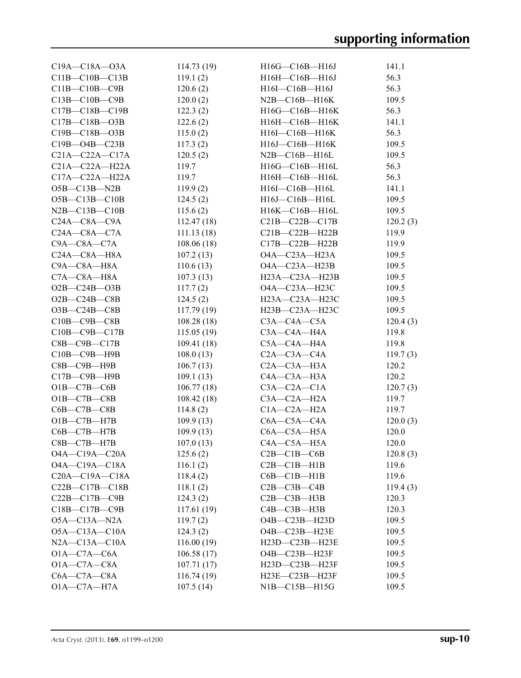| $C19A - C18A - 03A$   | 114.73(19)  | $H16G-C16B-H16J$        | 141.1          |
|-----------------------|-------------|-------------------------|----------------|
| $C11B - C10B - C13B$  | 119.1(2)    | H16H-C16B-H16J          | 56.3           |
| $C11B - C10B - C9B$   | 120.6(2)    | H16I-C16B-H16J          | 56.3           |
| $C13B - C10B - C9B$   | 120.0(2)    | $N2B$ — $C16B$ — $H16K$ | 109.5          |
| $C17B - C18B - C19B$  | 122.3(2)    | H16G-C16B-H16K          | 56.3           |
| $C17B - C18B - O3B$   | 122.6(2)    | H16H-C16B-H16K          | 141.1          |
| C19B-C18B-O3B         | 115.0(2)    | H16I-C16B-H16K          | 56.3           |
| $C19B - O4B - C23B$   | 117.3(2)    | H16J—C16B—H16K          | 109.5          |
| $C21A - C22A - C17A$  | 120.5(2)    | $N2B$ — $C16B$ — $H16L$ | 109.5          |
| $C21A-C22A-H22A$      | 119.7       | $H16G-C16B-H16L$        | 56.3           |
| $C17A - C22A - H22A$  | 119.7       | $H16H - C16B - H16L$    | 56.3           |
| $O5B - C13B - N2B$    | 119.9(2)    | $H16I - C16B - H16L$    | 141.1          |
| $O5B - C13B - C10B$   | 124.5(2)    | H16J-C16B-H16L          | 109.5          |
| $N2B - C13B - C10B$   | 115.6(2)    | H16K-C16B-H16L          | 109.5          |
| $C24A - C8A - C9A$    | 112.47(18)  | $C21B-C22B-C17B$        | 120.2(3)       |
| $C24A - C8A - C7A$    | 111.13(18)  | $C21B-C22B-H22B$        | 119.9          |
| $C9A - C8A - C7A$     | 108.06(18)  | $C17B - C22B - H22B$    | 119.9          |
| $C24A - C8A - H8A$    | 107.2(13)   | 04A-C23A-H23A           | 109.5          |
| C9A-C8A-H8A           | 110.6(13)   | $O4A - C23A - H23B$     | 109.5          |
| $C7A - C8A - H8A$     | 107.3(13)   | H23A—C23A—H23B          | 109.5          |
| $O2B - C24B - O3B$    | 117.7(2)    | 04A-C23A-H23C           | 109.5          |
| $O2B - C24B - C8B$    | 124.5(2)    | H23A-C23A-H23C          | 109.5          |
| $O3B-C24B-C8B$        | 117.79(19)  | $H23B-C23A-H23C$        | 109.5          |
| $C10B - C9B - C8B$    |             | $C3A - C4A - C5A$       |                |
| $C10B - C9B - C17B$   | 108.28(18)  | $C3A - C4A - H4A$       | 120.4(3)       |
| $C8B - C9B - C17B$    | 115.05(19)  | C5A—C4A—H4A             | 119.8<br>119.8 |
|                       | 109.41(18)  | $C2A - C3A - C4A$       |                |
| $C10B - C9B - H9B$    | 108.0(13)   |                         | 119.7(3)       |
| $C8B$ — $C9B$ —H $9B$ | 106.7(13)   | $C2A - C3A - H3A$       | 120.2          |
| $C17B - C9B - H9B$    | 109.1(13)   | $C4A - C3A - H3A$       | 120.2          |
| $O1B-C7B-C6B$         | 106.77(18)  | $C3A - C2A - C1A$       | 120.7(3)       |
| $O1B-C7B-C8B$         | 108.42(18)  | $C3A - C2A - H2A$       | 119.7          |
| $C6B - C7B - C8B$     | 114.8(2)    | $C1A - C2A - H2A$       | 119.7          |
| $O1B - C7B - H7B$     | 109.9(13)   | $C6A$ — $C5A$ — $C4A$   | 120.0(3)       |
| $C6B - C7B - H7B$     | 109.9(13)   | $C6A - C5A - H5A$       | 120.0          |
| $C8B - C7B - H7B$     | 107.0(13)   | C4A—C5A—H5A             | 120.0          |
| $O4A - C19A - C20A$   | 125.6(2)    | $C2B - C1B - C6B$       | 120.8(3)       |
| $O4A - C19A - C18A$   | 116.1(2)    | $C2B - C1B - H1B$       | 119.6          |
| $C20A - C19A - C18A$  | 118.4(2)    | $C6B - C1B - H1B$       | 119.6          |
| $C22B - C17B - C18B$  | 118.1(2)    | $C2B - C3B - C4B$       | 119.4(3)       |
| $C22B - C17B - C9B$   | 124.3(2)    | $C2B - C3B - H3B$       | 120.3          |
| C18B-C17B-C9B         | 117.61(19)  | $C4B - C3B - H3B$       | 120.3          |
| O5A-C13A-N2A          | 119.7(2)    | $O4B - C23B - H23D$     | 109.5          |
| $O5A - C13A - C10A$   | 124.3(2)    | O4B-C23B-H23E           | 109.5          |
| $N2A - C13A - C10A$   | 116.00 (19) | H23D-C23B-H23E          | 109.5          |
| $O1A - C7A - C6A$     | 106.58(17)  | O4B-C23B-H23F           | 109.5          |
| $O1A - C7A - C8A$     | 107.71(17)  | H23D-C23B-H23F          | 109.5          |
| $C6A - C7A - C8A$     | 116.74(19)  | $H23E - C23B - H23F$    | 109.5          |
| $O1A - C7A - H7A$     | 107.5(14)   | NIB—C15B—H15G           | 109.5          |